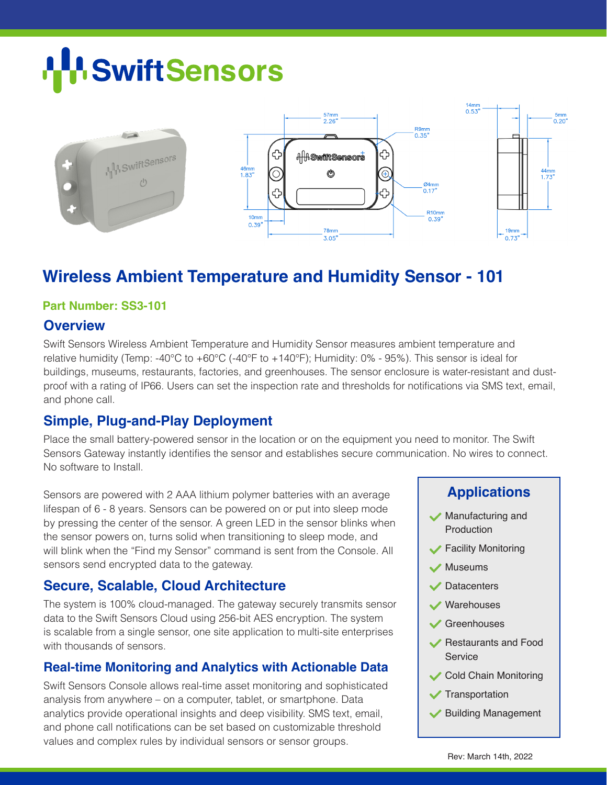# **H** Swift Sensors



# **Wireless Ambient Temperature and Humidity Sensor - 101**

#### **Part Number: SS3-101**

#### **Overview**

Swift Sensors Wireless Ambient Temperature and Humidity Sensor measures ambient temperature and relative humidity (Temp: -40°C to +60°C (-40°F to +140°F); Humidity: 0% - 95%). This sensor is ideal for buildings, museums, restaurants, factories, and greenhouses. The sensor enclosure is water-resistant and dustproof with a rating of IP66. Users can set the inspection rate and thresholds for notifications via SMS text, email, and phone call.

## **Simple, Plug-and-Play Deployment**

Place the small battery-powered sensor in the location or on the equipment you need to monitor. The Swift Sensors Gateway instantly identifies the sensor and establishes secure communication. No wires to connect. No software to Install.

Sensors are powered with 2 AAA lithium polymer batteries with an average lifespan of 6 - 8 years. Sensors can be powered on or put into sleep mode by pressing the center of the sensor. A green LED in the sensor blinks when the sensor powers on, turns solid when transitioning to sleep mode, and will blink when the "Find my Sensor" command is sent from the Console. All sensors send encrypted data to the gateway.

## **Secure, Scalable, Cloud Architecture**

The system is 100% cloud-managed. The gateway securely transmits sensor data to the Swift Sensors Cloud using 256-bit AES encryption. The system is scalable from a single sensor, one site application to multi-site enterprises with thousands of sensors.

## **Real-time Monitoring and Analytics with Actionable Data**

Swift Sensors Console allows real-time asset monitoring and sophisticated analysis from anywhere – on a computer, tablet, or smartphone. Data analytics provide operational insights and deep visibility. SMS text, email, and phone call notifications can be set based on customizable threshold values and complex rules by individual sensors or sensor groups.

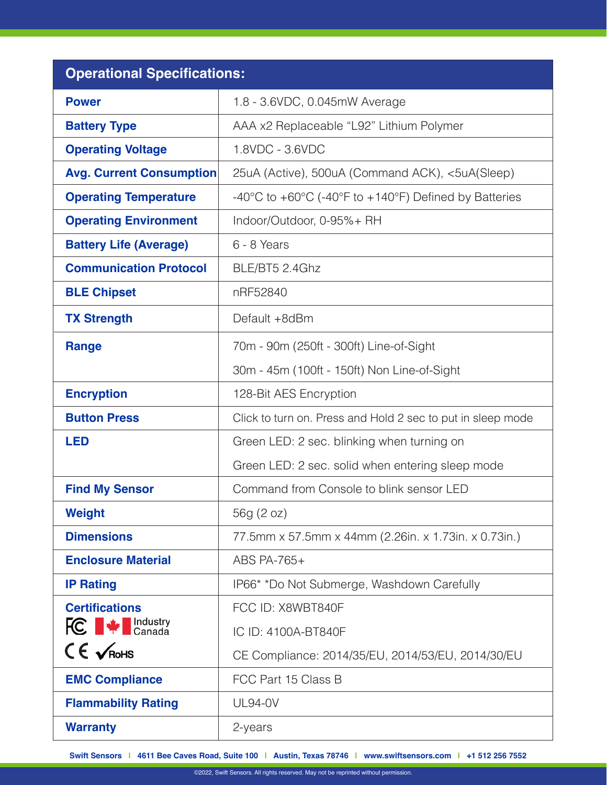| <b>Operational Specifications:</b>               |                                                                                               |  |
|--------------------------------------------------|-----------------------------------------------------------------------------------------------|--|
| <b>Power</b>                                     | 1.8 - 3.6VDC, 0.045mW Average                                                                 |  |
| <b>Battery Type</b>                              | AAA x2 Replaceable "L92" Lithium Polymer                                                      |  |
| <b>Operating Voltage</b>                         | 1.8VDC - 3.6VDC                                                                               |  |
| <b>Avg. Current Consumption</b>                  | 25uA (Active), 500uA (Command ACK), <5uA(Sleep)                                               |  |
| <b>Operating Temperature</b>                     | -40 $\degree$ C to +60 $\degree$ C (-40 $\degree$ F to +140 $\degree$ F) Defined by Batteries |  |
| <b>Operating Environment</b>                     | Indoor/Outdoor, 0-95%+ RH                                                                     |  |
| <b>Battery Life (Average)</b>                    | 6 - 8 Years                                                                                   |  |
| <b>Communication Protocol</b>                    | BLE/BT5 2.4Ghz                                                                                |  |
| <b>BLE Chipset</b>                               | nRF52840                                                                                      |  |
| <b>TX Strength</b>                               | Default +8dBm                                                                                 |  |
| <b>Range</b>                                     | 70m - 90m (250ft - 300ft) Line-of-Sight                                                       |  |
|                                                  | 30m - 45m (100ft - 150ft) Non Line-of-Sight                                                   |  |
| <b>Encryption</b>                                | 128-Bit AES Encryption                                                                        |  |
| <b>Button Press</b>                              | Click to turn on. Press and Hold 2 sec to put in sleep mode                                   |  |
| <b>LED</b>                                       | Green LED: 2 sec. blinking when turning on                                                    |  |
|                                                  | Green LED: 2 sec. solid when entering sleep mode                                              |  |
| <b>Find My Sensor</b>                            | Command from Console to blink sensor LED                                                      |  |
| <b>Weight</b>                                    | 56g (2 oz)                                                                                    |  |
| <b>Dimensions</b>                                | 77.5mm x 57.5mm x 44mm (2.26in. x 1.73in. x 0.73in.)                                          |  |
| <b>Enclosure Material</b>                        | ABS PA-765+                                                                                   |  |
| <b>IP Rating</b>                                 | IP66* *Do Not Submerge, Washdown Carefully                                                    |  |
| <b>Certifications</b>                            | FCC ID: X8WBT840F                                                                             |  |
| <b>FC</b> $\blacktriangleright$ <b>FC</b> Canada | IC ID: 4100A-BT840F                                                                           |  |
| $CE \times$ RoHS                                 | CE Compliance: 2014/35/EU, 2014/53/EU, 2014/30/EU                                             |  |
| <b>EMC Compliance</b>                            | FCC Part 15 Class B                                                                           |  |
| <b>Flammability Rating</b>                       | <b>UL94-0V</b>                                                                                |  |
| <b>Warranty</b>                                  | 2-years                                                                                       |  |